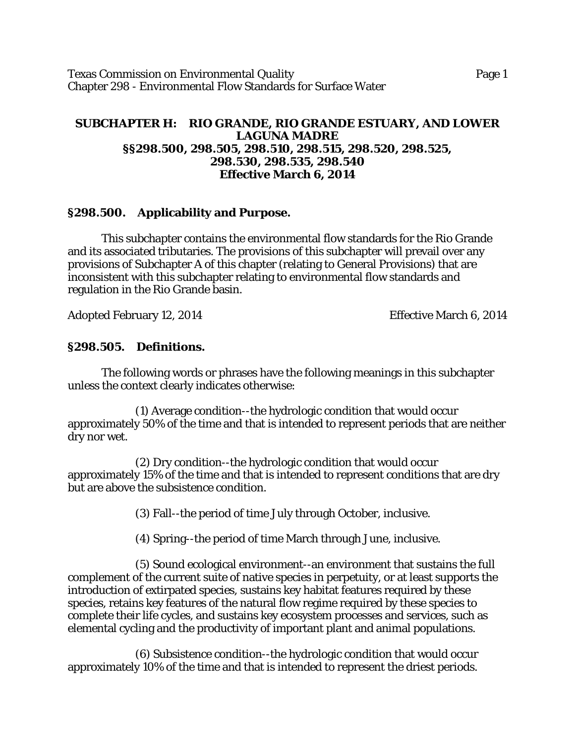Texas Commission on Environmental Quality Page 1 Chapter 298 - Environmental Flow Standards for Surface Water

### **SUBCHAPTER H: RIO GRANDE, RIO GRANDE ESTUARY, AND LOWER LAGUNA MADRE §§298.500, 298.505, 298.510, 298.515, 298.520, 298.525, 298.530, 298.535, 298.540 Effective March 6, 2014**

### **§298.500. Applicability and Purpose.**

This subchapter contains the environmental flow standards for the Rio Grande and its associated tributaries. The provisions of this subchapter will prevail over any provisions of Subchapter A of this chapter (relating to General Provisions) that are inconsistent with this subchapter relating to environmental flow standards and regulation in the Rio Grande basin.

Adopted February 12, 2014 Effective March 6, 2014

### **§298.505. Definitions.**

The following words or phrases have the following meanings in this subchapter unless the context clearly indicates otherwise:

(1) Average condition--the hydrologic condition that would occur approximately 50% of the time and that is intended to represent periods that are neither dry nor wet.

(2) Dry condition--the hydrologic condition that would occur approximately 15% of the time and that is intended to represent conditions that are dry but are above the subsistence condition.

(3) Fall--the period of time July through October, inclusive.

(4) Spring--the period of time March through June, inclusive.

(5) Sound ecological environment--an environment that sustains the full complement of the current suite of native species in perpetuity, or at least supports the introduction of extirpated species, sustains key habitat features required by these species, retains key features of the natural flow regime required by these species to complete their life cycles, and sustains key ecosystem processes and services, such as elemental cycling and the productivity of important plant and animal populations.

(6) Subsistence condition--the hydrologic condition that would occur approximately 10% of the time and that is intended to represent the driest periods.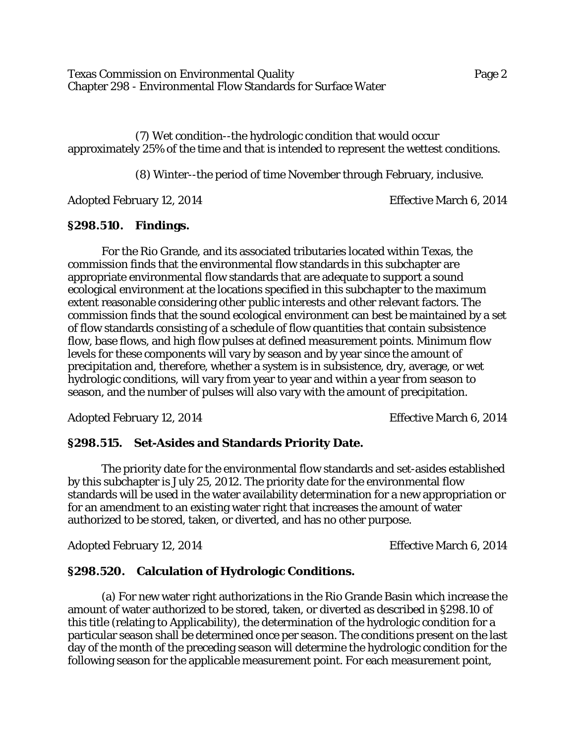Texas Commission on Environmental Quality Page 2 Chapter 298 - Environmental Flow Standards for Surface Water

(7) Wet condition--the hydrologic condition that would occur approximately 25% of the time and that is intended to represent the wettest conditions.

(8) Winter--the period of time November through February, inclusive.

Adopted February 12, 2014 Effective March 6, 2014

### **§298.510. Findings.**

For the Rio Grande, and its associated tributaries located within Texas, the commission finds that the environmental flow standards in this subchapter are appropriate environmental flow standards that are adequate to support a sound ecological environment at the locations specified in this subchapter to the maximum extent reasonable considering other public interests and other relevant factors. The commission finds that the sound ecological environment can best be maintained by a set of flow standards consisting of a schedule of flow quantities that contain subsistence flow, base flows, and high flow pulses at defined measurement points. Minimum flow levels for these components will vary by season and by year since the amount of precipitation and, therefore, whether a system is in subsistence, dry, average, or wet hydrologic conditions, will vary from year to year and within a year from season to season, and the number of pulses will also vary with the amount of precipitation.

Adopted February 12, 2014 Effective March 6, 2014

## **§298.515. Set-Asides and Standards Priority Date.**

The priority date for the environmental flow standards and set-asides established by this subchapter is July 25, 2012. The priority date for the environmental flow standards will be used in the water availability determination for a new appropriation or for an amendment to an existing water right that increases the amount of water authorized to be stored, taken, or diverted, and has no other purpose.

Adopted February 12, 2014 Effective March 6, 2014

## **§298.520. Calculation of Hydrologic Conditions.**

(a) For new water right authorizations in the Rio Grande Basin which increase the amount of water authorized to be stored, taken, or diverted as described in §298.10 of this title (relating to Applicability), the determination of the hydrologic condition for a particular season shall be determined once per season. The conditions present on the last day of the month of the preceding season will determine the hydrologic condition for the following season for the applicable measurement point. For each measurement point,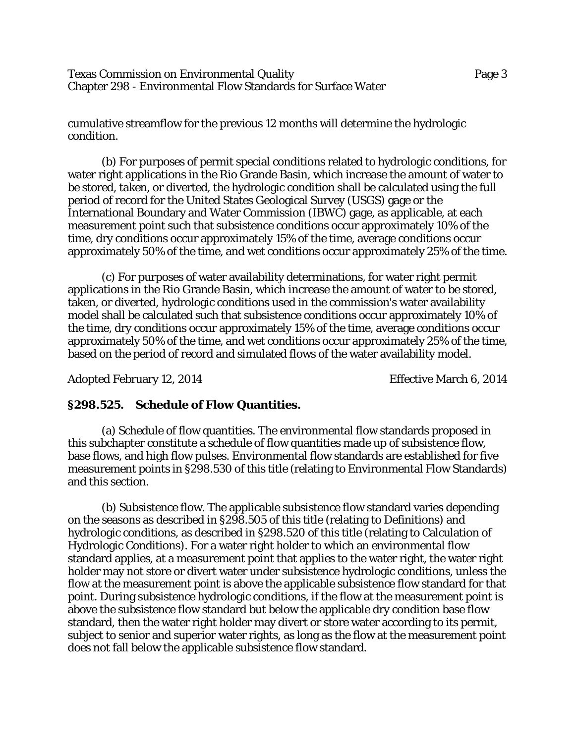Texas Commission on Environmental Quality Page 3 Chapter 298 - Environmental Flow Standards for Surface Water

cumulative streamflow for the previous 12 months will determine the hydrologic condition.

(b) For purposes of permit special conditions related to hydrologic conditions, for water right applications in the Rio Grande Basin, which increase the amount of water to be stored, taken, or diverted, the hydrologic condition shall be calculated using the full period of record for the United States Geological Survey (USGS) gage or the International Boundary and Water Commission (IBWC) gage, as applicable, at each measurement point such that subsistence conditions occur approximately 10% of the time, dry conditions occur approximately 15% of the time, average conditions occur approximately 50% of the time, and wet conditions occur approximately 25% of the time.

(c) For purposes of water availability determinations, for water right permit applications in the Rio Grande Basin, which increase the amount of water to be stored, taken, or diverted, hydrologic conditions used in the commission's water availability model shall be calculated such that subsistence conditions occur approximately 10% of the time, dry conditions occur approximately 15% of the time, average conditions occur approximately 50% of the time, and wet conditions occur approximately 25% of the time, based on the period of record and simulated flows of the water availability model.

Adopted February 12, 2014 Effective March 6, 2014

### **§298.525. Schedule of Flow Quantities.**

(a) Schedule of flow quantities. The environmental flow standards proposed in this subchapter constitute a schedule of flow quantities made up of subsistence flow, base flows, and high flow pulses. Environmental flow standards are established for five measurement points in §298.530 of this title (relating to Environmental Flow Standards) and this section.

(b) Subsistence flow. The applicable subsistence flow standard varies depending on the seasons as described in §298.505 of this title (relating to Definitions) and hydrologic conditions, as described in §298.520 of this title (relating to Calculation of Hydrologic Conditions). For a water right holder to which an environmental flow standard applies, at a measurement point that applies to the water right, the water right holder may not store or divert water under subsistence hydrologic conditions, unless the flow at the measurement point is above the applicable subsistence flow standard for that point. During subsistence hydrologic conditions, if the flow at the measurement point is above the subsistence flow standard but below the applicable dry condition base flow standard, then the water right holder may divert or store water according to its permit, subject to senior and superior water rights, as long as the flow at the measurement point does not fall below the applicable subsistence flow standard.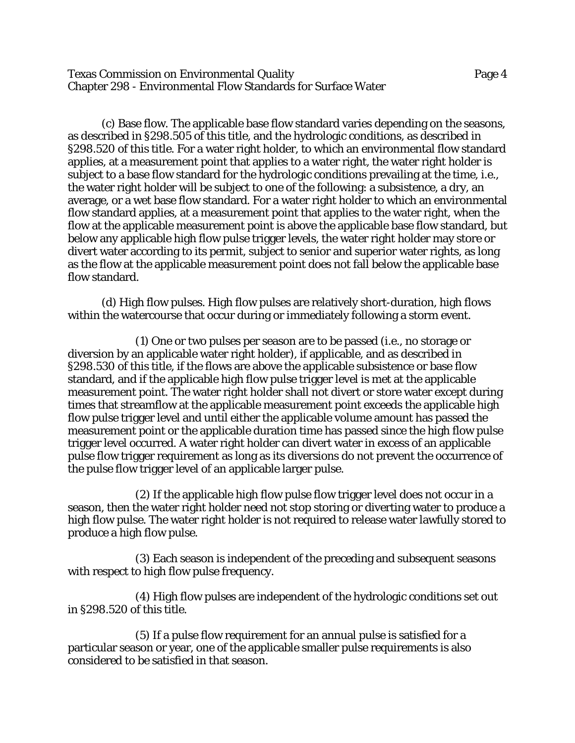Texas Commission on Environmental Quality Page 4 Chapter 298 - Environmental Flow Standards for Surface Water

(c) Base flow. The applicable base flow standard varies depending on the seasons, as described in §298.505 of this title, and the hydrologic conditions, as described in §298.520 of this title. For a water right holder, to which an environmental flow standard applies, at a measurement point that applies to a water right, the water right holder is subject to a base flow standard for the hydrologic conditions prevailing at the time, i.e., the water right holder will be subject to one of the following: a subsistence, a dry, an average, or a wet base flow standard. For a water right holder to which an environmental flow standard applies, at a measurement point that applies to the water right, when the flow at the applicable measurement point is above the applicable base flow standard, but below any applicable high flow pulse trigger levels, the water right holder may store or divert water according to its permit, subject to senior and superior water rights, as long as the flow at the applicable measurement point does not fall below the applicable base flow standard.

(d) High flow pulses. High flow pulses are relatively short-duration, high flows within the watercourse that occur during or immediately following a storm event.

(1) One or two pulses per season are to be passed (i.e., no storage or diversion by an applicable water right holder), if applicable, and as described in §298.530 of this title, if the flows are above the applicable subsistence or base flow standard, and if the applicable high flow pulse trigger level is met at the applicable measurement point. The water right holder shall not divert or store water except during times that streamflow at the applicable measurement point exceeds the applicable high flow pulse trigger level and until either the applicable volume amount has passed the measurement point or the applicable duration time has passed since the high flow pulse trigger level occurred. A water right holder can divert water in excess of an applicable pulse flow trigger requirement as long as its diversions do not prevent the occurrence of the pulse flow trigger level of an applicable larger pulse.

(2) If the applicable high flow pulse flow trigger level does not occur in a season, then the water right holder need not stop storing or diverting water to produce a high flow pulse. The water right holder is not required to release water lawfully stored to produce a high flow pulse.

(3) Each season is independent of the preceding and subsequent seasons with respect to high flow pulse frequency.

(4) High flow pulses are independent of the hydrologic conditions set out in §298.520 of this title.

(5) If a pulse flow requirement for an annual pulse is satisfied for a particular season or year, one of the applicable smaller pulse requirements is also considered to be satisfied in that season.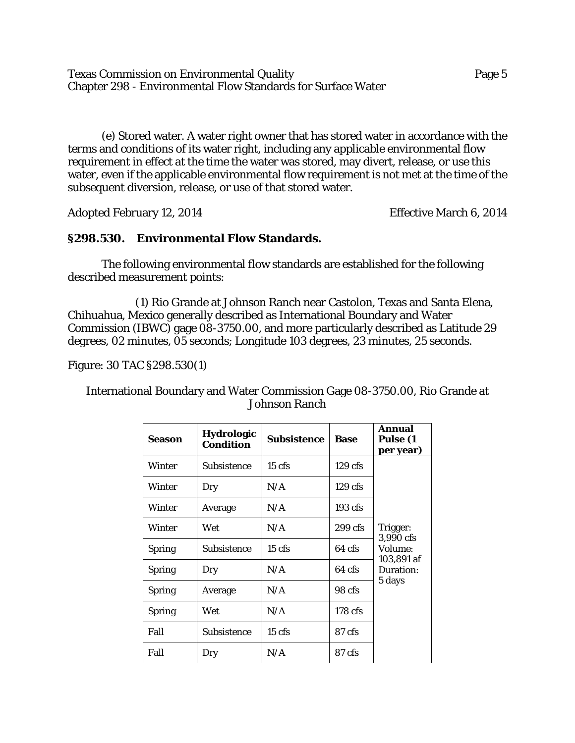Texas Commission on Environmental Quality Page 5 Chapter 298 - Environmental Flow Standards for Surface Water

(e) Stored water. A water right owner that has stored water in accordance with the terms and conditions of its water right, including any applicable environmental flow requirement in effect at the time the water was stored, may divert, release, or use this water, even if the applicable environmental flow requirement is not met at the time of the subsequent diversion, release, or use of that stored water.

Adopted February 12, 2014 Effective March 6, 2014

## **§298.530. Environmental Flow Standards.**

The following environmental flow standards are established for the following described measurement points:

(1) Rio Grande at Johnson Ranch near Castolon, Texas and Santa Elena, Chihuahua, Mexico generally described as International Boundary and Water Commission (IBWC) gage 08-3750.00, and more particularly described as Latitude 29 degrees, 02 minutes, 05 seconds; Longitude 103 degrees, 23 minutes, 25 seconds.

Figure: 30 TAC §298.530(1)

**Season Hydrologic Condition Subsistence Base Annual Pulse (1 per year)** Winter Subsistence 15 cfs 129 cfs Trigger: 3,990 cfs Volume: 103,891 af Duration: 5 days Winter Dry N/A 129 cfs Winter | Average | N/A | 193 cfs Winter Wet  $N/A$  299 cfs Spring Subsistence 15 cfs 64 cfs Spring  $\vert$  Dry  $\vert$  N/A  $\vert$  64 cfs Spring | Average | N/A | 98 cfs Spring Wet  $N/A$  178 cfs Fall Subsistence 15 cfs 87 cfs Fall Dry | N/A | 87 cfs

International Boundary and Water Commission Gage 08-3750.00, Rio Grande at Johnson Ranch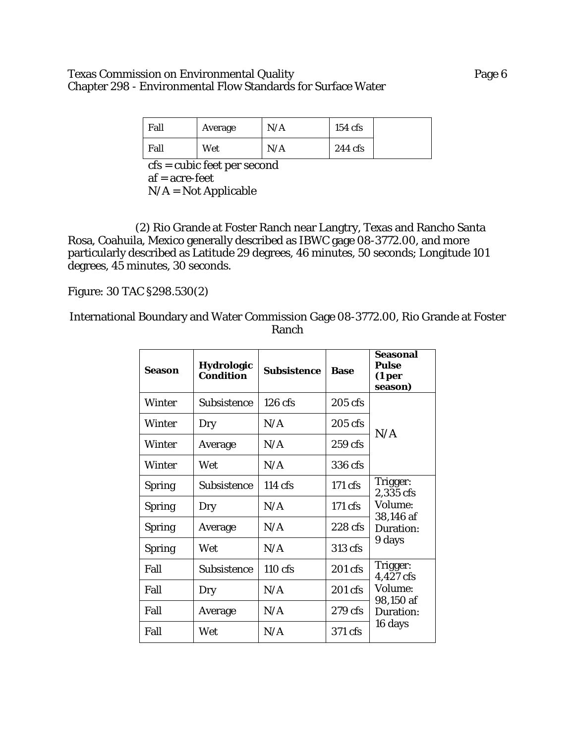### Texas Commission on Environmental Quality Page 6 Chapter 298 - Environmental Flow Standards for Surface Water

| Fall | Average | N/A | $154$ cfs         |
|------|---------|-----|-------------------|
| Fall | Wet     | N/A | $244 \text{ cfs}$ |

cfs = cubic feet per second af = acre-feet  $N/A = Not$  Applicable

(2) Rio Grande at Foster Ranch near Langtry, Texas and Rancho Santa Rosa, Coahuila, Mexico generally described as IBWC gage 08-3772.00, and more particularly described as Latitude 29 degrees, 46 minutes, 50 seconds; Longitude 101 degrees, 45 minutes, 30 seconds.

Figure: 30 TAC §298.530(2)

International Boundary and Water Commission Gage 08-3772.00, Rio Grande at Foster Ranch

| <b>Season</b> | <b>Hydrologic</b><br><b>Condition</b> | Subsistence | <b>Base</b>       | Seasonal<br>Pulse<br>(1 per<br>season) |
|---------------|---------------------------------------|-------------|-------------------|----------------------------------------|
| Winter        | Subsistence                           | $126$ cfs   | $205$ cfs         |                                        |
| Winter        | Dry                                   | N/A         | $205$ cfs         | N/A                                    |
| Winter        | Average                               | N/A         | $259$ cfs         |                                        |
| Winter        | Wet                                   | N/A         | 336 cfs           |                                        |
| <b>Spring</b> | Subsistence                           | $114$ cfs   | 171 cfs           | Trigger:<br>2,335 cfs                  |
| <b>Spring</b> | Dry                                   | N/A         | $171 \text{ cfs}$ | Volume:                                |
| <b>Spring</b> | Average                               | N/A         | $228$ cfs         | 38,146 af<br>Duration:                 |
| <b>Spring</b> | Wet                                   | N/A         | 313 cfs           | 9 days                                 |
| Fall          | Subsistence                           | $110$ cfs   | 201 cfs           | Trigger:<br>4,427 cfs                  |
| Fall          | Dry                                   | N/A         | 201 cfs           | Volume:                                |
| Fall          | Average                               | N/A         | 279 cfs           | 98,150 af<br>Duration:                 |
| Fall          | Wet                                   | N/A         | 371 cfs           | 16 days                                |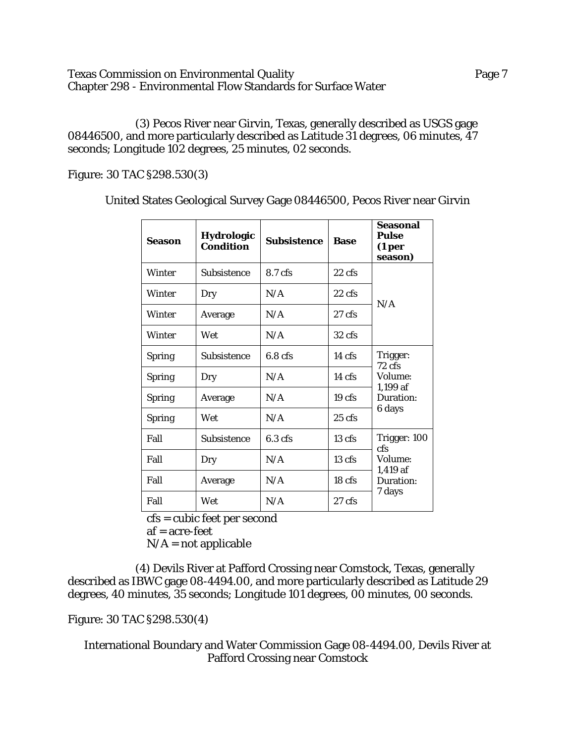### Texas Commission on Environmental Quality **Page 7** Page 7 Chapter 298 - Environmental Flow Standards for Surface Water

(3) Pecos River near Girvin, Texas, generally described as USGS gage 08446500, and more particularly described as Latitude 31 degrees, 06 minutes, 47 seconds; Longitude 102 degrees, 25 minutes, 02 seconds.

Figure: 30 TAC §298.530(3)

United States Geological Survey Gage 08446500, Pecos River near Girvin

| <b>Season</b> | <b>Hydrologic</b><br><b>Condition</b> | Subsistence        | <b>Base</b>       | Seasonal<br><b>Pulse</b><br>(1 per<br>season)                              |
|---------------|---------------------------------------|--------------------|-------------------|----------------------------------------------------------------------------|
| Winter        | Subsistence                           | 8.7 cfs            | $22 \text{ cfs}$  | N/A                                                                        |
| Winter        | Dry                                   | N/A                | $22 \text{ cfs}$  |                                                                            |
| Winter        | Average                               | N/A                | 27 cfs            |                                                                            |
| Winter        | Wet                                   | N/A                | $32 \text{ cfs}$  |                                                                            |
| <b>Spring</b> | Subsistence                           | 6.8 <sub>cfs</sub> | $14 \text{ cfs}$  | Trigger:<br>$72 \text{ cfs}$<br>Volume:<br>1,199 af<br>Duration:<br>6 days |
| <b>Spring</b> | Dry                                   | N/A                | $14 \text{ cfs}$  |                                                                            |
| <b>Spring</b> | Average                               | N/A                | 19 <sub>cfs</sub> |                                                                            |
| <b>Spring</b> | Wet                                   | N/A                | $25$ cfs          |                                                                            |
| Fall          | Subsistence                           | $6.3$ cfs          | 13 <sub>cfs</sub> | Trigger: 100<br>cfs<br>Volume:<br>1,419 af<br>Duration:<br>7 days          |
| Fall          | Dry                                   | N/A                | 13 <sub>cf</sub>  |                                                                            |
| Fall          | Average                               | N/A                | 18 cfs            |                                                                            |
| Fall          | Wet                                   | N/A                | $27 \text{ cfs}$  |                                                                            |

cfs = cubic feet per second

af = acre-feet

 $N/A$  = not applicable

(4) Devils River at Pafford Crossing near Comstock, Texas, generally described as IBWC gage 08-4494.00, and more particularly described as Latitude 29 degrees, 40 minutes, 35 seconds; Longitude 101 degrees, 00 minutes, 00 seconds.

## Figure: 30 TAC §298.530(4)

International Boundary and Water Commission Gage 08-4494.00, Devils River at Pafford Crossing near Comstock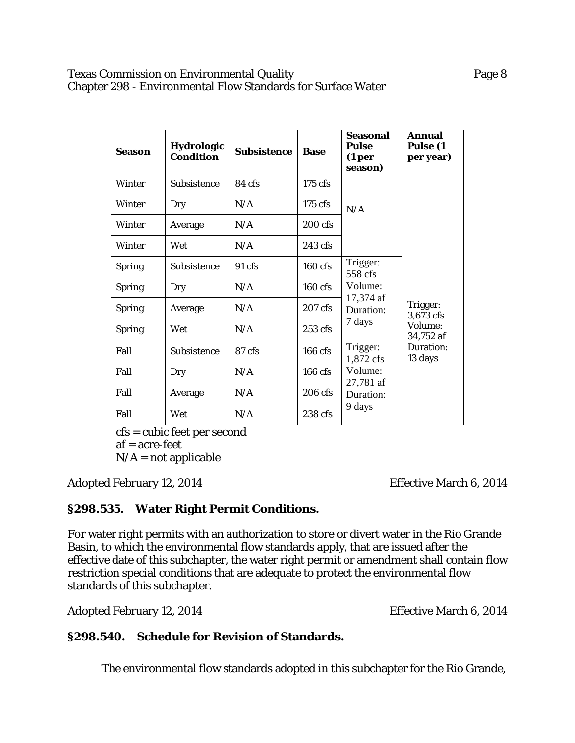### Texas Commission on Environmental Quality Page 8 Chapter 298 - Environmental Flow Standards for Surface Water

| <b>Season</b> | Hydrologic<br><b>Condition</b> | <b>Subsistence</b> | <b>Base</b>       | <b>Seasonal</b><br><b>Pulse</b><br>(1 <sub>per</sub> )<br>season)                                                                          | <b>Annual</b><br>Pulse (1<br>per year)                                |
|---------------|--------------------------------|--------------------|-------------------|--------------------------------------------------------------------------------------------------------------------------------------------|-----------------------------------------------------------------------|
| Winter        | <b>Subsistence</b>             | 84 cfs             | 175 cfs           |                                                                                                                                            |                                                                       |
| Winter        | Dry                            | N/A                | $175 \text{ cfs}$ | N/A                                                                                                                                        |                                                                       |
| Winter        | Average                        | N/A                | 200 cfs           |                                                                                                                                            | Trigger:<br>3,673 cfs<br>Volume:<br>34,752 af<br>Duration:<br>13 days |
| Winter        | Wet                            | N/A                | $243$ cfs         |                                                                                                                                            |                                                                       |
| <b>Spring</b> | Subsistence                    | 91 cfs             | $160$ cfs         | Trigger:<br>558 cfs<br>Volume:<br>17,374 af<br>Duration:<br>7 days<br>Trigger:<br>1,872 cfs<br>Volume:<br>27,781 af<br>Duration:<br>9 days |                                                                       |
| <b>Spring</b> | Dry                            | N/A                | 160 cfs           |                                                                                                                                            |                                                                       |
| <b>Spring</b> | Average                        | N/A                | 207 cfs           |                                                                                                                                            |                                                                       |
| <b>Spring</b> | Wet                            | N/A                | $253 \text{ cfs}$ |                                                                                                                                            |                                                                       |
| Fall          | Subsistence                    | $87 \text{ cfs}$   | $166$ cfs         |                                                                                                                                            |                                                                       |
| Fall          | Dry                            | N/A                | $166$ cfs         |                                                                                                                                            |                                                                       |
| Fall          | Average                        | N/A                | 206 cfs           |                                                                                                                                            |                                                                       |
| Fall          | Wet                            | N/A                | 238 cfs           |                                                                                                                                            |                                                                       |

cfs = cubic feet per second  $af = acre-free$  $N/A$  = not applicable

Adopted February 12, 2014 Effective March 6, 2014

# **§298.535. Water Right Permit Conditions.**

For water right permits with an authorization to store or divert water in the Rio Grande Basin, to which the environmental flow standards apply, that are issued after the effective date of this subchapter, the water right permit or amendment shall contain flow restriction special conditions that are adequate to protect the environmental flow standards of this subchapter.

Adopted February 12, 2014 Effective March 6, 2014

# **§298.540. Schedule for Revision of Standards.**

The environmental flow standards adopted in this subchapter for the Rio Grande,